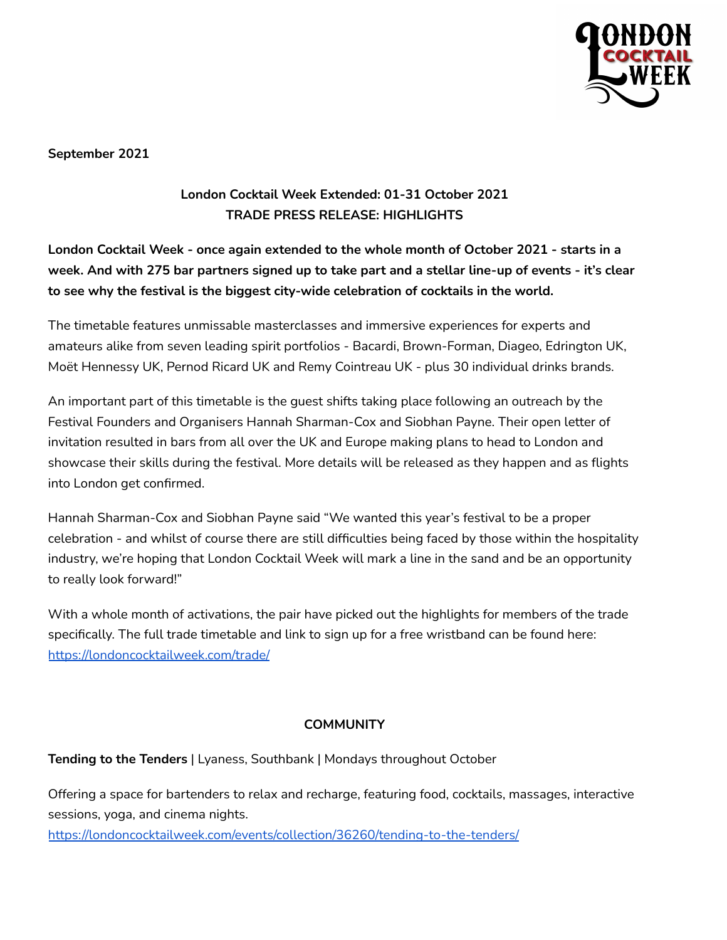

**September 2021**

# **London Cocktail Week Extended: 01-31 October 2021 TRADE PRESS RELEASE: HIGHLIGHTS**

# **London Cocktail Week - once again extended to the whole month of October 2021 - starts in a** week. And with 275 bar partners signed up to take part and a stellar line-up of events - it's clear **to see why the festival is the biggest city-wide celebration of cocktails in the world.**

The timetable features unmissable masterclasses and immersive experiences for experts and amateurs alike from seven leading spirit portfolios - Bacardi, Brown-Forman, Diageo, Edrington UK, Moët Hennessy UK, Pernod Ricard UK and Remy Cointreau UK - plus 30 individual drinks brands.

An important part of this timetable is the guest shifts taking place following an outreach by the Festival Founders and Organisers Hannah Sharman-Cox and Siobhan Payne. Their open letter of invitation resulted in bars from all over the UK and Europe making plans to head to London and showcase their skills during the festival. More details will be released as they happen and as flights into London get confirmed.

Hannah Sharman-Cox and Siobhan Payne said "We wanted this year's festival to be a proper celebration - and whilst of course there are still difficulties being faced by those within the hospitality industry, we're hoping that London Cocktail Week will mark a line in the sand and be an opportunity to really look forward!"

With a whole month of activations, the pair have picked out the highlights for members of the trade specifically. The full trade timetable and link to sign up for a free wristband can be found here: <https://londoncocktailweek.com/trade/>

## **COMMUNITY**

#### **Tending to the Tenders** | Lyaness, Southbank | Mondays throughout October

Offering a space for bartenders to relax and recharge, featuring food, cocktails, massages, interactive sessions, yoga, and cinema nights.

<https://londoncocktailweek.com/events/collection/36260/tending-to-the-tenders/>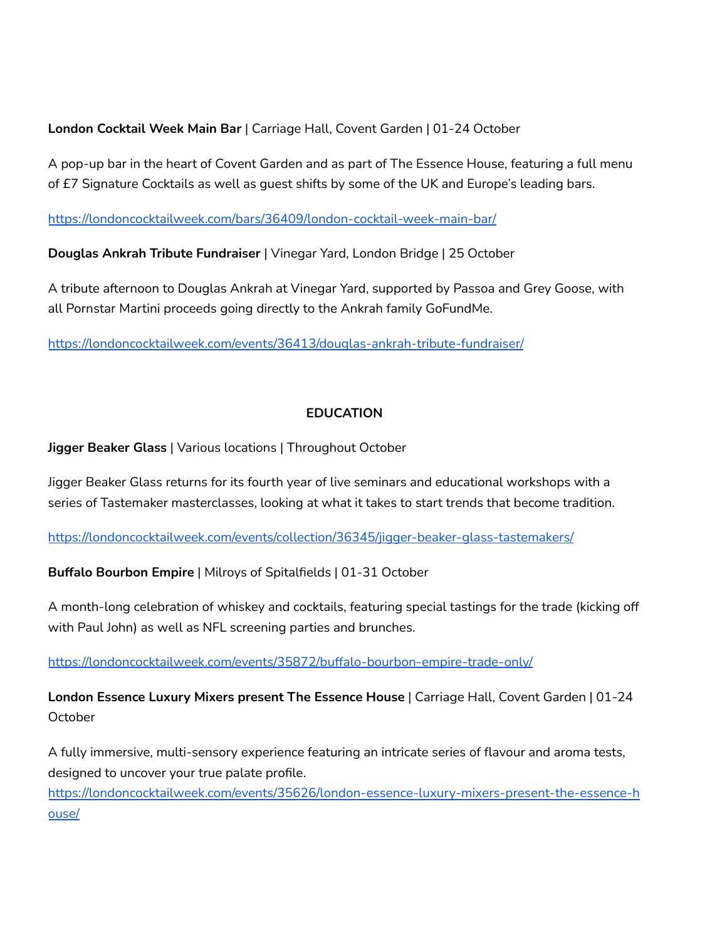## **London Cocktail Week Main Bar** | Carriage Hall, Covent Garden | 01-24 October

A pop-up bar in the heart of Covent Garden and as part of The Essence House, featuring a full menu of £7 Signature Cocktails as well as guest shifts by some of the UK and Europe's leading bars.

<https://londoncocktailweek.com/bars/36409/london-cocktail-week-main-bar/>

**Douglas Ankrah Tribute Fundraiser** | Vinegar Yard, London Bridge | 25 October

A tribute afternoon to Douglas Ankrah at Vinegar Yard, supported by Passoa and Grey Goose, with all Pornstar Martini proceeds going directly to the Ankrah family GoFundMe.

<https://londoncocktailweek.com/events/36413/douglas-ankrah-tribute-fundraiser/>

# **EDUCATION**

**Jigger Beaker Glass** | Various locations | Throughout October

Jigger Beaker Glass returns for its fourth year of live seminars and educational workshops with a series of Tastemaker masterclasses, looking at what it takes to start trends that become tradition.

[https://londoncocktailweek.com/events/collection/36345/jigger-beaker-glass-tastemakers/](https://londoncocktailweek.com/events/collection/36345/jigger-beaker-glass-tastemakers/?filter=0,0,0,0,1&search=)

**Buffalo Bourbon Empire** | Milroys of Spitalfields | 01-31 October

A month-long celebration of whiskey and cocktails, featuring special tastings for the trade (kicking off with Paul John) as well as NFL screening parties and brunches.

<https://londoncocktailweek.com/events/35872/buffalo-bourbon-empire-trade-only/>

**London Essence Luxury Mixers present The Essence House** | Carriage Hall, Covent Garden | 01-24 October

A fully immersive, multi-sensory experience featuring an intricate series of flavour and aroma tests, designed to uncover your true palate profile.

[https://londoncocktailweek.com/events/35626/london-essence-luxury-mixers-present-the-essence-h](https://londoncocktailweek.com/events/35626/london-essence-luxury-mixers-present-the-essence-house/) [ouse/](https://londoncocktailweek.com/events/35626/london-essence-luxury-mixers-present-the-essence-house/)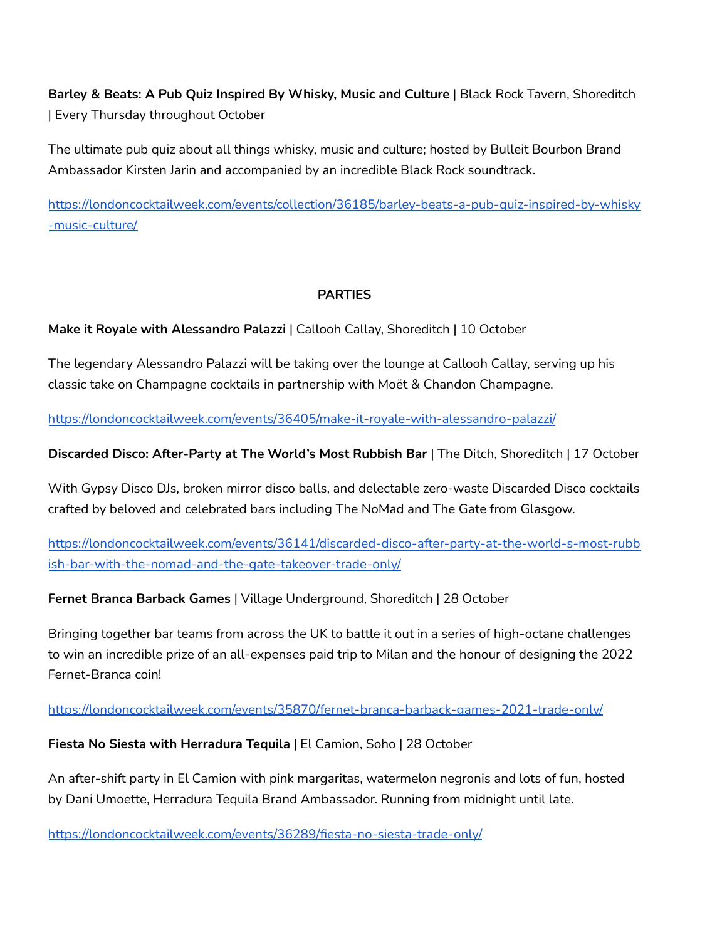**Barley & Beats: A Pub Quiz Inspired By Whisky, Music and Culture** | Black Rock Tavern, Shoreditch | Every Thursday throughout October

The ultimate pub quiz about all things whisky, music and culture; hosted by Bulleit Bourbon Brand Ambassador Kirsten Jarin and accompanied by an incredible Black Rock soundtrack.

[https://londoncocktailweek.com/events/collection/36185/barley-beats-a-pub-quiz-inspired-by-whisky](https://londoncocktailweek.com/events/collection/36185/barley-beats-a-pub-quiz-inspired-by-whisky-music-culture/) [-music-culture/](https://londoncocktailweek.com/events/collection/36185/barley-beats-a-pub-quiz-inspired-by-whisky-music-culture/)

## **PARTIES**

**Make it Royale with Alessandro Palazzi** | Callooh Callay, Shoreditch | 10 October

The legendary Alessandro Palazzi will be taking over the lounge at Callooh Callay, serving up his classic take on Champagne cocktails in partnership with Moët & Chandon Champagne.

<https://londoncocktailweek.com/events/36405/make-it-royale-with-alessandro-palazzi/>

**Discarded Disco: After-Party at The World's Most Rubbish Bar** | The Ditch, Shoreditch | 17 October

With Gypsy Disco DJs, broken mirror disco balls, and delectable zero-waste Discarded Disco cocktails crafted by beloved and celebrated bars including The NoMad and The Gate from Glasgow.

[https://londoncocktailweek.com/events/36141/discarded-disco-after-party-at-the-world-s-most-rubb](https://londoncocktailweek.com/events/36141/discarded-disco-after-party-at-the-world-s-most-rubbish-bar-with-the-nomad-and-the-gate-takeover-trade-only/) [ish-bar-with-the-nomad-and-the-gate-takeover-trade-only/](https://londoncocktailweek.com/events/36141/discarded-disco-after-party-at-the-world-s-most-rubbish-bar-with-the-nomad-and-the-gate-takeover-trade-only/)

**Fernet Branca Barback Games** | Village Underground, Shoreditch | 28 October

Bringing together bar teams from across the UK to battle it out in a series of high-octane challenges to win an incredible prize of an all-expenses paid trip to Milan and the honour of designing the 2022 Fernet-Branca coin!

<https://londoncocktailweek.com/events/35870/fernet-branca-barback-games-2021-trade-only/>

**Fiesta No Siesta with Herradura Tequila** | El Camion, Soho | 28 October

An after-shift party in El Camion with pink margaritas, watermelon negronis and lots of fun, hosted by Dani Umoette, Herradura Tequila Brand Ambassador. Running from midnight until late.

<https://londoncocktailweek.com/events/36289/fiesta-no-siesta-trade-only/>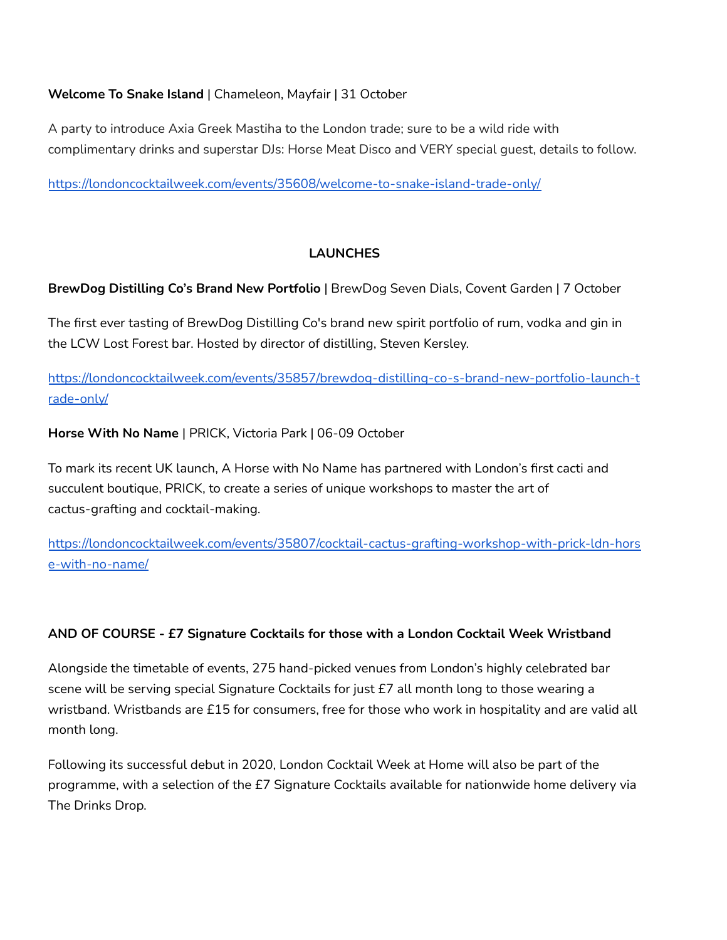# **Welcome To Snake Island** | Chameleon, Mayfair | 31 October

A party to introduce Axia Greek Mastiha to the London trade; sure to be a wild ride with complimentary drinks and superstar DJs: Horse Meat Disco and VERY special guest, details to follow.

<https://londoncocktailweek.com/events/35608/welcome-to-snake-island-trade-only/>

## **LAUNCHES**

**BrewDog Distilling Co's Brand New Portfolio** | BrewDog Seven Dials, Covent Garden | 7 October

The first ever tasting of BrewDog Distilling Co's brand new spirit portfolio of rum, vodka and gin in the LCW Lost Forest bar. Hosted by director of distilling, Steven Kersley.

[https://londoncocktailweek.com/events/35857/brewdog-distilling-co-s-brand-new-portfolio-launch-t](https://londoncocktailweek.com/events/35857/brewdog-distilling-co-s-brand-new-portfolio-launch-trade-only/) [rade-only/](https://londoncocktailweek.com/events/35857/brewdog-distilling-co-s-brand-new-portfolio-launch-trade-only/)

**Horse With No Name** | PRICK, Victoria Park | 06-09 October

To mark its recent UK launch, A Horse with No Name has partnered with London's first cacti and succulent boutique, PRICK, to create a series of unique workshops to master the art of cactus-grafting and cocktail-making.

[https://londoncocktailweek.com/events/35807/cocktail-cactus-grafting-workshop-with-prick-ldn-hors](https://londoncocktailweek.com/events/35807/cocktail-cactus-grafting-workshop-with-prick-ldn-horse-with-no-name/) [e-with-no-name/](https://londoncocktailweek.com/events/35807/cocktail-cactus-grafting-workshop-with-prick-ldn-horse-with-no-name/)

## **AND OF COURSE - £7 Signature Cocktails for those with a London Cocktail Week Wristband**

Alongside the timetable of events, 275 hand-picked venues from London's highly celebrated bar scene will be serving special Signature Cocktails for just £7 all month long to those wearing a wristband. Wristbands are £15 for consumers, free for those who work in hospitality and are valid all month long.

Following its successful debut in 2020, London Cocktail Week at Home will also be part of the programme, with a selection of the £7 Signature Cocktails available for nationwide home delivery via The Drinks Drop.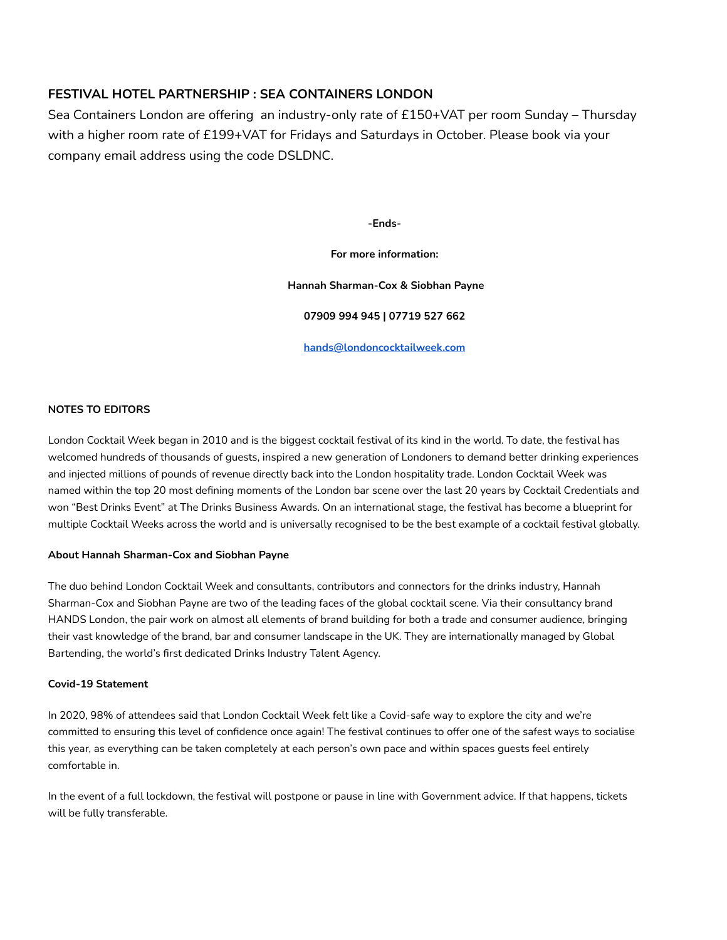## **FESTIVAL HOTEL PARTNERSHIP : SEA CONTAINERS LONDON**

Sea Containers London are offering an industry-only rate of £150+VAT per room Sunday – Thursday with a higher room rate of £199+VAT for Fridays and Saturdays in October. Please book via your company email address using the code DSLDNC.

**-Ends-**

#### **For more information:**

**Hannah Sharman-Cox & Siobhan Payne**

**07909 994 945 | 07719 527 662**

**[hands@londoncocktailweek.com](mailto:hands@londoncocktailweek.com)**

#### **NOTES TO EDITORS**

London Cocktail Week began in 2010 and is the biggest cocktail festival of its kind in the world. To date, the festival has welcomed hundreds of thousands of guests, inspired a new generation of Londoners to demand better drinking experiences and injected millions of pounds of revenue directly back into the London hospitality trade. London Cocktail Week was named within the top 20 most defining moments of the London bar scene over the last 20 years by Cocktail Credentials and won "Best Drinks Event" at The Drinks Business Awards. On an international stage, the festival has become a blueprint for multiple Cocktail Weeks across the world and is universally recognised to be the best example of a cocktail festival globally.

#### **About Hannah Sharman-Cox and Siobhan Payne**

The duo behind London Cocktail Week and consultants, contributors and connectors for the drinks industry, Hannah Sharman-Cox and Siobhan Payne are two of the leading faces of the global cocktail scene. Via their consultancy brand HANDS London, the pair work on almost all elements of brand building for both a trade and consumer audience, bringing their vast knowledge of the brand, bar and consumer landscape in the UK. They are internationally managed by Global Bartending, the world's first dedicated Drinks Industry Talent Agency.

#### **Covid-19 Statement**

In 2020, 98% of attendees said that London Cocktail Week felt like a Covid-safe way to explore the city and we're committed to ensuring this level of confidence once again! The festival continues to offer one of the safest ways to socialise this year, as everything can be taken completely at each person's own pace and within spaces guests feel entirely comfortable in.

In the event of a full lockdown, the festival will postpone or pause in line with Government advice. If that happens, tickets will be fully transferable.